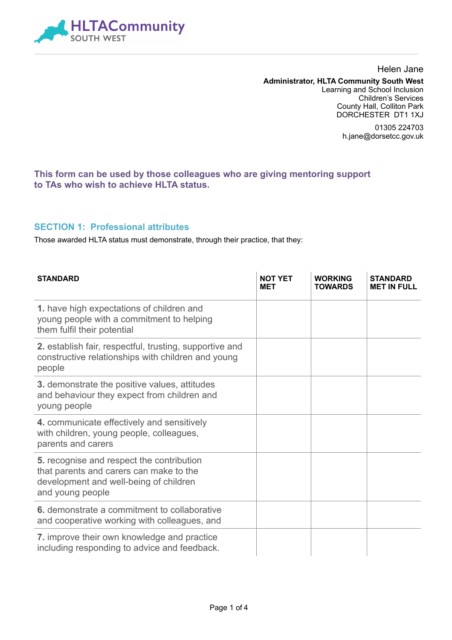

#### Helen Jane **Administrator, HLTA Community South West**  Learning and School Inclusion Children's Services County Hall, Colliton Park DORCHESTER DT1 1XJ

01305 224703 h.jane@dorsetcc.gov.uk

### **This form can be used by those colleagues who are giving mentoring support to TAs who wish to achieve HLTA status.**

#### **SECTION 1: Professional attributes**

Those awarded HLTA status must demonstrate, through their practice, that they:

| <b>STANDARD</b>                                                                                                                                    | <b>NOT YET</b><br><b>MET</b> | <b>WORKING</b><br><b>TOWARDS</b> | <b>STANDARD</b><br><b>MET IN FULL</b> |
|----------------------------------------------------------------------------------------------------------------------------------------------------|------------------------------|----------------------------------|---------------------------------------|
| 1. have high expectations of children and<br>young people with a commitment to helping<br>them fulfil their potential                              |                              |                                  |                                       |
| 2. establish fair, respectful, trusting, supportive and<br>constructive relationships with children and young<br>people                            |                              |                                  |                                       |
| <b>3.</b> demonstrate the positive values, attitudes<br>and behaviour they expect from children and<br>young people                                |                              |                                  |                                       |
| 4. communicate effectively and sensitively<br>with children, young people, colleagues,<br>parents and carers                                       |                              |                                  |                                       |
| 5. recognise and respect the contribution<br>that parents and carers can make to the<br>development and well-being of children<br>and young people |                              |                                  |                                       |
| 6. demonstrate a commitment to collaborative<br>and cooperative working with colleagues, and                                                       |                              |                                  |                                       |
| 7. improve their own knowledge and practice<br>including responding to advice and feedback.                                                        |                              |                                  |                                       |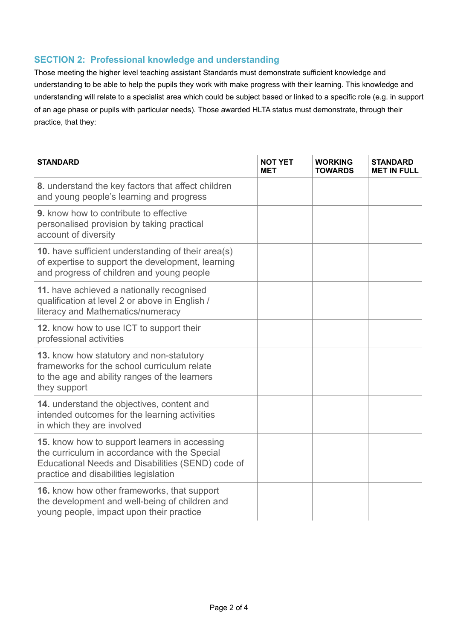## **SECTION 2: Professional knowledge and understanding**

Those meeting the higher level teaching assistant Standards must demonstrate sufficient knowledge and understanding to be able to help the pupils they work with make progress with their learning. This knowledge and understanding will relate to a specialist area which could be subject based or linked to a specific role (e.g. in support of an age phase or pupils with particular needs). Those awarded HLTA status must demonstrate, through their practice, that they:

| <b>STANDARD</b>                                                                                                                                                                              | <b>NOT YET</b><br>MET | <b>WORKING</b><br><b>TOWARDS</b> | <b>STANDARD</b><br><b>MET IN FULL</b> |
|----------------------------------------------------------------------------------------------------------------------------------------------------------------------------------------------|-----------------------|----------------------------------|---------------------------------------|
| 8. understand the key factors that affect children<br>and young people's learning and progress                                                                                               |                       |                                  |                                       |
| <b>9.</b> know how to contribute to effective<br>personalised provision by taking practical<br>account of diversity                                                                          |                       |                                  |                                       |
| <b>10.</b> have sufficient understanding of their area(s)<br>of expertise to support the development, learning<br>and progress of children and young people                                  |                       |                                  |                                       |
| 11. have achieved a nationally recognised<br>qualification at level 2 or above in English /<br>literacy and Mathematics/numeracy                                                             |                       |                                  |                                       |
| 12. know how to use ICT to support their<br>professional activities                                                                                                                          |                       |                                  |                                       |
| 13. know how statutory and non-statutory<br>frameworks for the school curriculum relate<br>to the age and ability ranges of the learners<br>they support                                     |                       |                                  |                                       |
| 14. understand the objectives, content and<br>intended outcomes for the learning activities<br>in which they are involved                                                                    |                       |                                  |                                       |
| 15. know how to support learners in accessing<br>the curriculum in accordance with the Special<br>Educational Needs and Disabilities (SEND) code of<br>practice and disabilities legislation |                       |                                  |                                       |
| <b>16.</b> know how other frameworks, that support<br>the development and well-being of children and<br>young people, impact upon their practice                                             |                       |                                  |                                       |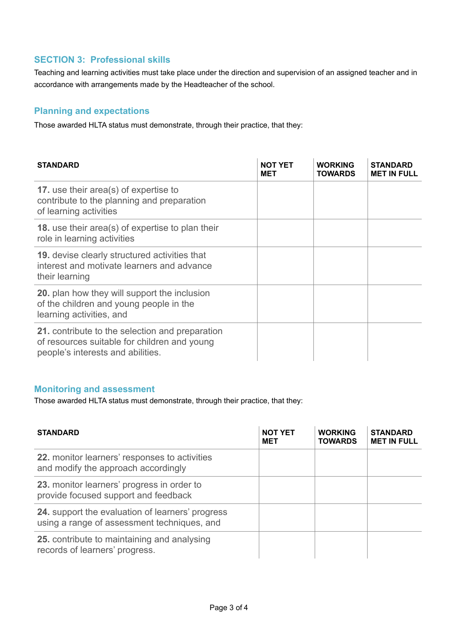## **SECTION 3: Professional skills**

Teaching and learning activities must take place under the direction and supervision of an assigned teacher and in accordance with arrangements made by the Headteacher of the school.

### **Planning and expectations**

Those awarded HLTA status must demonstrate, through their practice, that they:

| <b>STANDARD</b>                                                                                                                      | NOT YET<br><b>MET</b> | <b>WORKING</b><br><b>TOWARDS</b> | <b>STANDARD</b><br><b>MET IN FULL</b> |
|--------------------------------------------------------------------------------------------------------------------------------------|-----------------------|----------------------------------|---------------------------------------|
| <b>17.</b> use their area(s) of expertise to<br>contribute to the planning and preparation<br>of learning activities                 |                       |                                  |                                       |
| <b>18.</b> use their area(s) of expertise to plan their<br>role in learning activities                                               |                       |                                  |                                       |
| <b>19.</b> devise clearly structured activities that<br>interest and motivate learners and advance<br>their learning                 |                       |                                  |                                       |
| 20. plan how they will support the inclusion<br>of the children and young people in the<br>learning activities, and                  |                       |                                  |                                       |
| 21. contribute to the selection and preparation<br>of resources suitable for children and young<br>people's interests and abilities. |                       |                                  |                                       |

#### **Monitoring and assessment**

Those awarded HLTA status must demonstrate, through their practice, that they:

| <b>STANDARD</b>                                                                                        | <b>NOT YET</b><br><b>MET</b> | <b>WORKING</b><br><b>TOWARDS</b> | <b>STANDARD</b><br><b>MET IN FULL</b> |
|--------------------------------------------------------------------------------------------------------|------------------------------|----------------------------------|---------------------------------------|
| 22. monitor learners' responses to activities<br>and modify the approach accordingly                   |                              |                                  |                                       |
| 23. monitor learners' progress in order to<br>provide focused support and feedback                     |                              |                                  |                                       |
| <b>24.</b> support the evaluation of learners' progress<br>using a range of assessment techniques, and |                              |                                  |                                       |
| 25. contribute to maintaining and analysing<br>records of learners' progress.                          |                              |                                  |                                       |